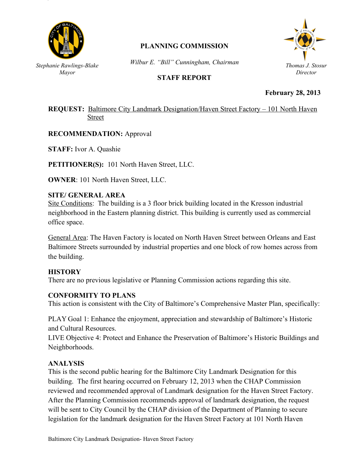

# **PLANNING COMMISSION**

*Wilbur E. "Bill" Cunningham, Chairman*

## **STAFF REPORT**



**February 28, 2013**

## **REQUEST:** Baltimore City Landmark Designation/Haven Street Factory – 101 North Haven Street

**RECOMMENDATION:** Approval *Mayor*

**STAFF:** Ivor A. Quashie

**PETITIONER(S):** 101 North Haven Street, LLC.

**OWNER**: 101 North Haven Street, LLC.

## **SITE/ GENERAL AREA**

Site Conditions: The building is a 3 floor brick building located in the Kresson industrial neighborhood in the Eastern planning district. This building is currently used as commercial office space.

General Area: The Haven Factory is located on North Haven Street between Orleans and East Baltimore Streets surrounded by industrial properties and one block of row homes across from the building.

### **HISTORY**

There are no previous legislative or Planning Commission actions regarding this site.

### **CONFORMITY TO PLANS**

This action is consistent with the City of Baltimore's Comprehensive Master Plan, specifically:

PLAY Goal 1: Enhance the enjoyment, appreciation and stewardship of Baltimore's Historic and Cultural Resources.

LIVE Objective 4: Protect and Enhance the Preservation of Baltimore's Historic Buildings and Neighborhoods.

### **ANALYSIS**

This is the second public hearing for the Baltimore City Landmark Designation for this building. The first hearing occurred on February 12, 2013 when the CHAP Commission reviewed and recommended approval of Landmark designation for the Haven Street Factory. After the Planning Commission recommends approval of landmark designation, the request will be sent to City Council by the CHAP division of the Department of Planning to secure legislation for the landmark designation for the Haven Street Factory at 101 North Haven